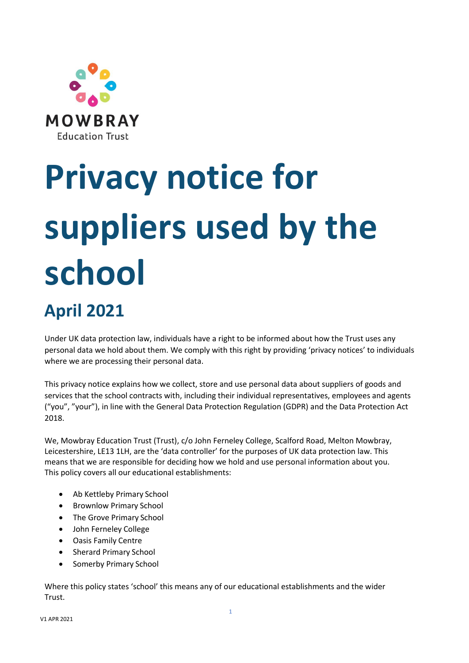

# **Privacy notice for suppliers used by the school April 2021**

Under UK data protection law, individuals have a right to be informed about how the Trust uses any personal data we hold about them. We comply with this right by providing 'privacy notices' to individuals where we are processing their personal data.

This privacy notice explains how we collect, store and use personal data about suppliers of goods and services that the school contracts with, including their individual representatives, employees and agents ("you", "your"), in line with the General Data Protection Regulation (GDPR) and the Data Protection Act 2018.

We, Mowbray Education Trust (Trust), c/o John Ferneley College, Scalford Road, Melton Mowbray, Leicestershire, LE13 1LH, are the 'data controller' for the purposes of UK data protection law. This means that we are responsible for deciding how we hold and use personal information about you. This policy covers all our educational establishments:

- Ab Kettleby Primary School
- Brownlow Primary School
- The Grove Primary School
- John Ferneley College
- Oasis Family Centre
- Sherard Primary School
- Somerby Primary School

Where this policy states 'school' this means any of our educational establishments and the wider Trust.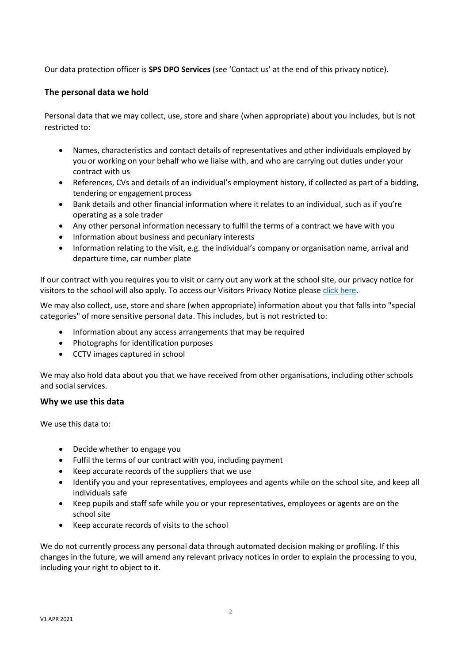Our data protection officer is **SPS DPO Services** (see 'Contact us' at the end of this privacy notice).

# **The personal data we hold**

Personal data that we may collect, use, store and share (when appropriate) about you includes, but is not restricted to:

- Names, characteristics and contact details of representatives and other individuals employed by you or working on your behalf who we liaise with, and who are carrying out duties under your contract with us
- References, CVs and details of an individual's employment history, if collected as part of a bidding, tendering or engagement process
- Bank details and other financial information where it relates to an individual, such as if you're operating as a sole trader
- Any other personal information necessary to fulfil the terms of a contract we have with you
- Information about business and pecuniary interests
- Information relating to the visit, e.g. the individual's company or organisation name, arrival and departure time, car number plate

If our contract with you requires you to visit or carry out any work at the school site, our privacy notice for visitors to the school will also apply. To access our Visitors Privacy Notice please [click here](https://www.mowbrayeducation.org/policies).

We may also collect, use, store and share (when appropriate) information about you that falls into "special categories" of more sensitive personal data. This includes, but is not restricted to:

- Information about any access arrangements that may be required
- Photographs for identification purposes
- CCTV images captured in school

We may also hold data about you that we have received from other organisations, including other schools and social services.

## **Why we use this data**

We use this data to:

- Decide whether to engage you
- Fulfil the terms of our contract with you, including payment
- Keep accurate records of the suppliers that we use
- Identify you and your representatives, employees and agents while on the school site, and keep all individuals safe
- Keep pupils and staff safe while you or your representatives, employees or agents are on the school site
- Keep accurate records of visits to the school

We do not currently process any personal data through automated decision making or profiling. If this changes in the future, we will amend any relevant privacy notices in order to explain the processing to you, including your right to object to it.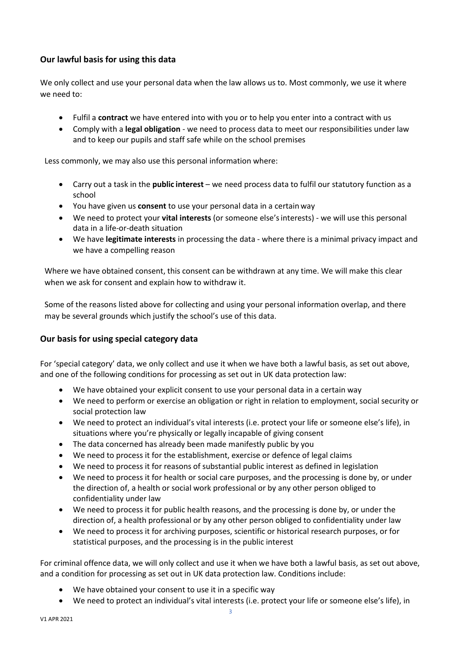# **Our lawful basis for using this data**

We only collect and use your personal data when the law allows us to. Most commonly, we use it where we need to:

- Fulfil a **contract** we have entered into with you or to help you enter into a contract with us
- Comply with a **legal obligation** we need to process data to meet our responsibilities under law and to keep our pupils and staff safe while on the school premises

Less commonly, we may also use this personal information where:

- Carry out a task in the **public interest** we need process data to fulfil our statutory function as a school
- You have given us **consent** to use your personal data in a certain way
- We need to protect your **vital interests** (or someone else'sinterests) we will use this personal data in a life-or-death situation
- We have **legitimate interests** in processing the data where there is a minimal privacy impact and we have a compelling reason

Where we have obtained consent, this consent can be withdrawn at any time. We will make this clear when we ask for consent and explain how to withdraw it.

Some of the reasons listed above for collecting and using your personal information overlap, and there may be several grounds which justify the school's use of this data.

# **Our basis for using special category data**

For 'special category' data, we only collect and use it when we have both a lawful basis, as set out above, and one of the following conditions for processing as set out in UK data protection law:

- We have obtained your explicit consent to use your personal data in a certain way
- We need to perform or exercise an obligation or right in relation to employment, social security or social protection law
- We need to protect an individual's vital interests (i.e. protect your life or someone else's life), in situations where you're physically or legally incapable of giving consent
- The data concerned has already been made manifestly public by you
- We need to process it for the establishment, exercise or defence of legal claims
- We need to process it for reasons of substantial public interest as defined in legislation
- We need to process it for health or social care purposes, and the processing is done by, or under the direction of, a health or social work professional or by any other person obliged to confidentiality under law
- We need to process it for public health reasons, and the processing is done by, or under the direction of, a health professional or by any other person obliged to confidentiality under law
- We need to process it for archiving purposes, scientific or historical research purposes, or for statistical purposes, and the processing is in the public interest

For criminal offence data, we will only collect and use it when we have both a lawful basis, as set out above, and a condition for processing as set out in UK data protection law. Conditions include:

- We have obtained your consent to use it in a specific way
- We need to protect an individual's vital interests (i.e. protect your life or someone else's life), in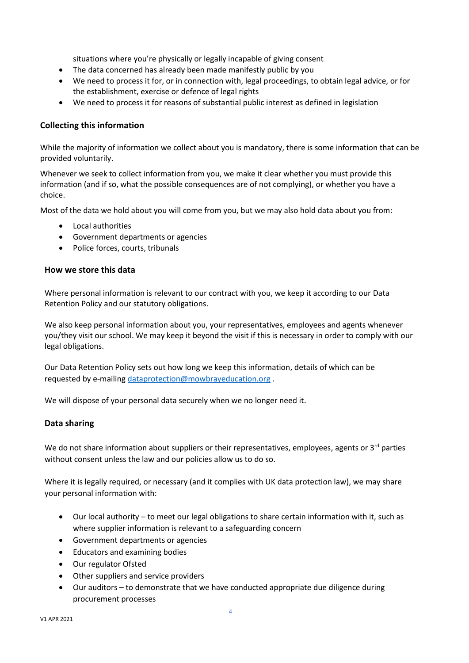situations where you're physically or legally incapable of giving consent

- The data concerned has already been made manifestly public by you
- We need to process it for, or in connection with, legal proceedings, to obtain legal advice, or for the establishment, exercise or defence of legal rights
- We need to process it for reasons of substantial public interest as defined in legislation

## **Collecting this information**

While the majority of information we collect about you is mandatory, there is some information that can be provided voluntarily.

Whenever we seek to collect information from you, we make it clear whether you must provide this information (and if so, what the possible consequences are of not complying), or whether you have a choice.

Most of the data we hold about you will come from you, but we may also hold data about you from:

- Local authorities
- Government departments or agencies
- Police forces, courts, tribunals

## **How we store this data**

Where personal information is relevant to our contract with you, we keep it according to our Data Retention Policy and our statutory obligations.

We also keep personal information about you, your representatives, employees and agents whenever you/they visit our school. We may keep it beyond the visit if this is necessary in order to comply with our legal obligations.

Our Data Retention Policy sets out how long we keep this information, details of which can be requested by e-mailing [dataprotection@mowbrayeducation.org](mailto:dataprotection@mowbrayeducation.org) .

We will dispose of your personal data securely when we no longer need it.

# **Data sharing**

We do not share information about suppliers or their representatives, employees, agents or  $3<sup>rd</sup>$  parties without consent unless the law and our policies allow us to do so.

Where it is legally required, or necessary (and it complies with UK data protection law), we may share your personal information with:

- Our local authority to meet our legal obligations to share certain information with it, such as where supplier information is relevant to a safeguarding concern
- Government departments or agencies
- Educators and examining bodies
- Our regulator Ofsted
- Other suppliers and service providers
- Our auditors to demonstrate that we have conducted appropriate due diligence during procurement processes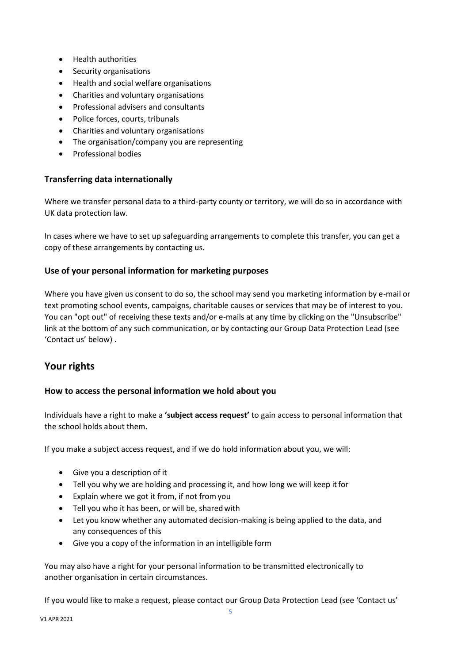- Health authorities
- Security organisations
- Health and social welfare organisations
- Charities and voluntary organisations
- Professional advisers and consultants
- Police forces, courts, tribunals
- Charities and voluntary organisations
- The organisation/company you are representing
- Professional bodies

## **Transferring data internationally**

Where we transfer personal data to a third-party county or territory, we will do so in accordance with UK data protection law.

In cases where we have to set up safeguarding arrangements to complete this transfer, you can get a copy of these arrangements by contacting us.

## **Use of your personal information for marketing purposes**

Where you have given us consent to do so, the school may send you marketing information by e-mail or text promoting school events, campaigns, charitable causes or services that may be of interest to you. You can "opt out" of receiving these texts and/or e-mails at any time by clicking on the "Unsubscribe" link at the bottom of any such communication, or by contacting our Group Data Protection Lead (see 'Contact us' below) .

# **Your rights**

## **How to access the personal information we hold about you**

Individuals have a right to make a **'subject access request'** to gain access to personal information that the school holds about them.

If you make a subject access request, and if we do hold information about you, we will:

- Give you a description of it
- Tell you why we are holding and processing it, and how long we will keep itfor
- Explain where we got it from, if not fromyou
- Tell you who it has been, or will be, sharedwith
- Let you know whether any automated decision-making is being applied to the data, and any consequences of this
- Give you a copy of the information in an intelligible form

You may also have a right for your personal information to be transmitted electronically to another organisation in certain circumstances.

If you would like to make a request, please contact our Group Data Protection Lead (see 'Contact us'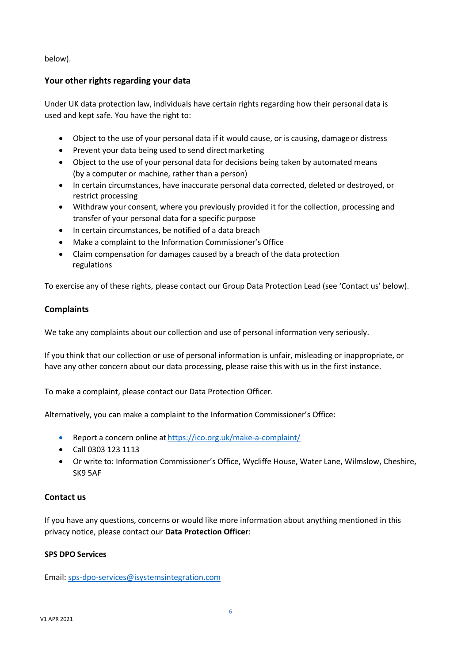below).

# **Your other rights regarding your data**

Under UK data protection law, individuals have certain rights regarding how their personal data is used and kept safe. You have the right to:

- Object to the use of your personal data if it would cause, or is causing, damageor distress
- Prevent your data being used to send direct marketing
- Object to the use of your personal data for decisions being taken by automated means (by a computer or machine, rather than a person)
- In certain circumstances, have inaccurate personal data corrected, deleted or destroyed, or restrict processing
- Withdraw your consent, where you previously provided it for the collection, processing and transfer of your personal data for a specific purpose
- In certain circumstances, be notified of a data breach
- Make a complaint to the Information Commissioner's Office
- Claim compensation for damages caused by a breach of the data protection regulations

To exercise any of these rights, please contact our Group Data Protection Lead (see 'Contact us' below).

## **Complaints**

We take any complaints about our collection and use of personal information very seriously.

If you think that our collection or use of personal information is unfair, misleading or inappropriate, or have any other concern about our data processing, please raise this with us in the first instance.

To make a complaint, please contact our Data Protection Officer.

Alternatively, you can make a complaint to the Information Commissioner's Office:

- Report a concern online at <https://ico.org.uk/make-a-complaint/>
- Call 0303 123 1113
- Or write to: Information Commissioner's Office, Wycliffe House, Water Lane, Wilmslow, Cheshire, SK9 5AF

## **Contact us**

If you have any questions, concerns or would like more information about anything mentioned in this privacy notice, please contact our **Data Protection Officer**:

## **SPS DPO Services**

Email[: sps-dpo-services@isystemsintegration.com](mailto:sps-dpo-services@isystemsintegration.com)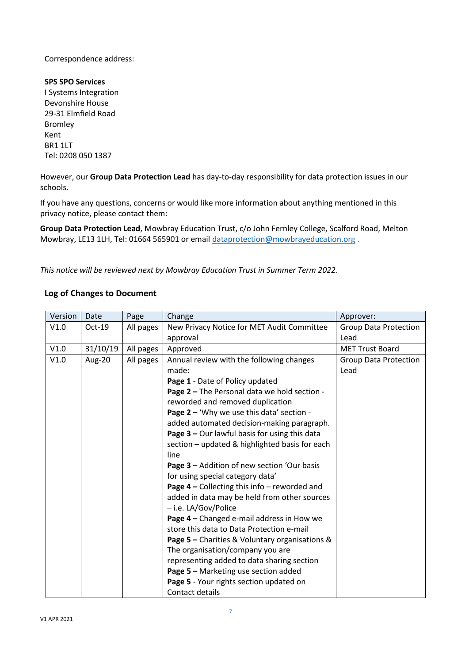## Correspondence address:

#### **SPS SPO Services**

I Systems Integration Devonshire House 29-31 Elmfield Road Bromley Kent BR1 1LT Tel: 0208 050 1387

However, our **Group Data Protection Lead** has day-to-day responsibility for data protection issues in our schools.

If you have any questions, concerns or would like more information about anything mentioned in this privacy notice, please contact them:

**Group Data Protection Lead**, Mowbray Education Trust, c/o John Fernley College, Scalford Road, Melton Mowbray, LE13 1LH, Tel: 01664 565901 or email [dataprotection@mowbrayeducation.org](mailto:dataprotection@mowbrayeducation.org) .

*This notice will be reviewed next by Mowbray Education Trust in Summer Term 2022.*

## **Log of Changes to Document**

| Version | Date     | Page      | Change                                          | Approver:                    |
|---------|----------|-----------|-------------------------------------------------|------------------------------|
| V1.0    | $Oct-19$ | All pages | New Privacy Notice for MET Audit Committee      | <b>Group Data Protection</b> |
|         |          |           | approval                                        | Lead                         |
| V1.0    | 31/10/19 | All pages | Approved                                        | <b>MET Trust Board</b>       |
| V1.0    | Aug-20   | All pages | Annual review with the following changes        | <b>Group Data Protection</b> |
|         |          |           | made:                                           | Lead                         |
|         |          |           | Page 1 - Date of Policy updated                 |                              |
|         |          |           | Page 2 - The Personal data we hold section -    |                              |
|         |          |           | reworded and removed duplication                |                              |
|         |          |           | Page 2 - 'Why we use this data' section -       |                              |
|         |          |           | added automated decision-making paragraph.      |                              |
|         |          |           | Page $3$ – Our lawful basis for using this data |                              |
|         |          |           | section - updated & highlighted basis for each  |                              |
|         |          |           | line                                            |                              |
|         |          |           | Page 3 - Addition of new section 'Our basis     |                              |
|         |          |           | for using special category data'                |                              |
|         |          |           | Page $4$ – Collecting this info – reworded and  |                              |
|         |          |           | added in data may be held from other sources    |                              |
|         |          |           | - i.e. LA/Gov/Police                            |                              |
|         |          |           | Page 4 - Changed e-mail address in How we       |                              |
|         |          |           | store this data to Data Protection e-mail       |                              |
|         |          |           | Page 5 - Charities & Voluntary organisations &  |                              |
|         |          |           | The organisation/company you are                |                              |
|         |          |           | representing added to data sharing section      |                              |
|         |          |           | Page 5 - Marketing use section added            |                              |
|         |          |           | Page 5 - Your rights section updated on         |                              |
|         |          |           | Contact details                                 |                              |